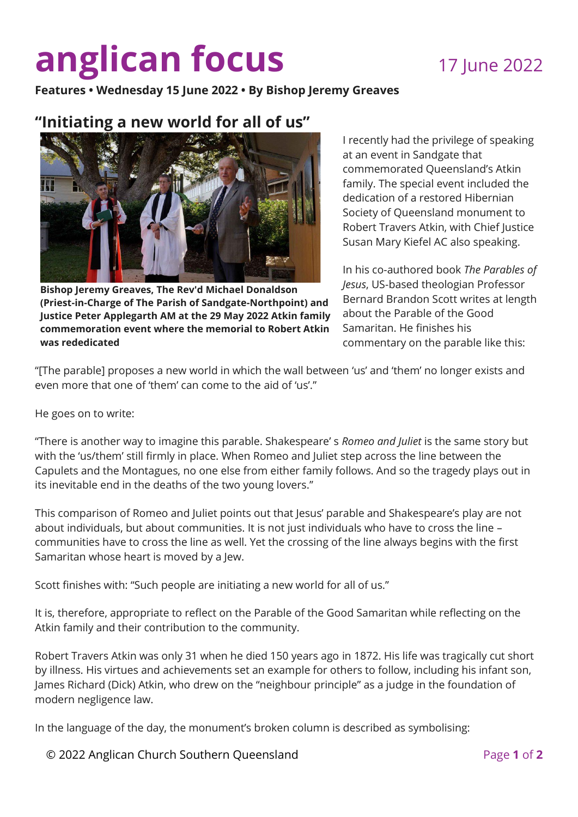## **anglican focus** 17 June 2022

**Features • Wednesday 15 June 2022 • By Bishop Jeremy Greaves** 

## **"Initiating a new world for all of us"**



**Bishop Jeremy Greaves, The Rev'd Michael Donaldson (Priest-in-Charge of The Parish of Sandgate-Northpoint) and Justice Peter Applegarth AM at the 29 May 2022 Atkin family commemoration event where the memorial to Robert Atkin was rededicated**

I recently had the privilege of speaking at an event in Sandgate that commemorated Queensland's Atkin family. The special event included the dedication of a restored Hibernian Society of Queensland monument to Robert Travers Atkin, with Chief Justice Susan Mary Kiefel AC also speaking.

In his co-authored book *The Parables of Jesus*, US-based theologian Professor Bernard Brandon Scott writes at length about the Parable of the Good Samaritan. He finishes his commentary on the parable like this:

"[The parable] proposes a new world in which the wall between 'us' and 'them' no longer exists and even more that one of 'them' can come to the aid of 'us'."

He goes on to write:

"There is another way to imagine this parable. Shakespeare' s *Romeo and Juliet* is the same story but with the 'us/them' still firmly in place. When Romeo and Juliet step across the line between the Capulets and the Montagues, no one else from either family follows. And so the tragedy plays out in its inevitable end in the deaths of the two young lovers."

This comparison of Romeo and Juliet points out that Jesus' parable and Shakespeare's play are not about individuals, but about communities. It is not just individuals who have to cross the line – communities have to cross the line as well. Yet the crossing of the line always begins with the first Samaritan whose heart is moved by a Jew.

Scott finishes with: "Such people are initiating a new world for all of us."

It is, therefore, appropriate to reflect on the Parable of the Good Samaritan while reflecting on the Atkin family and their contribution to the community.

Robert Travers Atkin was only 31 when he died 150 years ago in 1872. His life was tragically cut short by illness. His virtues and achievements set an example for others to follow, including his infant son, James Richard (Dick) Atkin, who drew on the "neighbour principle" as a judge in the foundation of modern negligence law.

In the language of the day, the monument's broken column is described as symbolising:

© 2022 Anglican Church Southern Queensland Page **1** of **2**